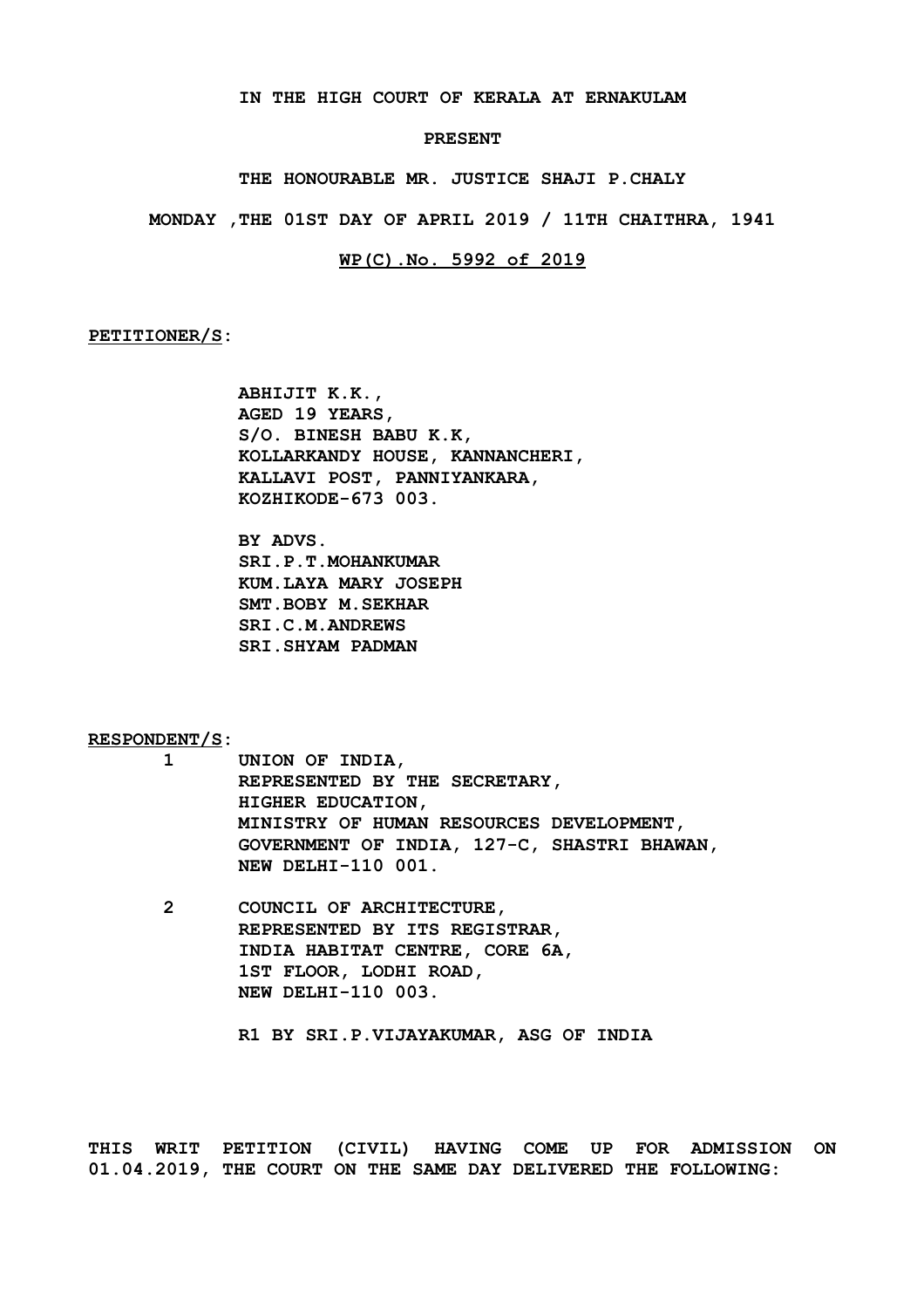**IN THE HIGH COURT OF KERALA AT ERNAKULAM**

#### **PRESENT**

**THE HONOURABLE MR. JUSTICE SHAJI P.CHALY**

**MONDAY ,THE 01ST DAY OF APRIL 2019 / 11TH CHAITHRA, 1941**

#### **WP(C).No. 5992 of 2019**

**PETITIONER/S:**

**ABHIJIT K.K., AGED 19 YEARS, S/O. BINESH BABU K.K, KOLLARKANDY HOUSE, KANNANCHERI, KALLAVI POST, PANNIYANKARA, KOZHIKODE-673 003.**

**BY ADVS. SRI.P.T.MOHANKUMAR KUM.LAYA MARY JOSEPH SMT.BOBY M.SEKHAR SRI.C.M.ANDREWS SRI.SHYAM PADMAN**

**RESPONDENT/S:**

- **1 UNION OF INDIA, REPRESENTED BY THE SECRETARY, HIGHER EDUCATION, MINISTRY OF HUMAN RESOURCES DEVELOPMENT, GOVERNMENT OF INDIA, 127-C, SHASTRI BHAWAN, NEW DELHI-110 001.**
- **2 COUNCIL OF ARCHITECTURE, REPRESENTED BY ITS REGISTRAR, INDIA HABITAT CENTRE, CORE 6A, 1ST FLOOR, LODHI ROAD, NEW DELHI-110 003.**

**R1 BY SRI.P.VIJAYAKUMAR, ASG OF INDIA**

**THIS WRIT PETITION (CIVIL) HAVING COME UP FOR ADMISSION ON 01.04.2019, THE COURT ON THE SAME DAY DELIVERED THE FOLLOWING:**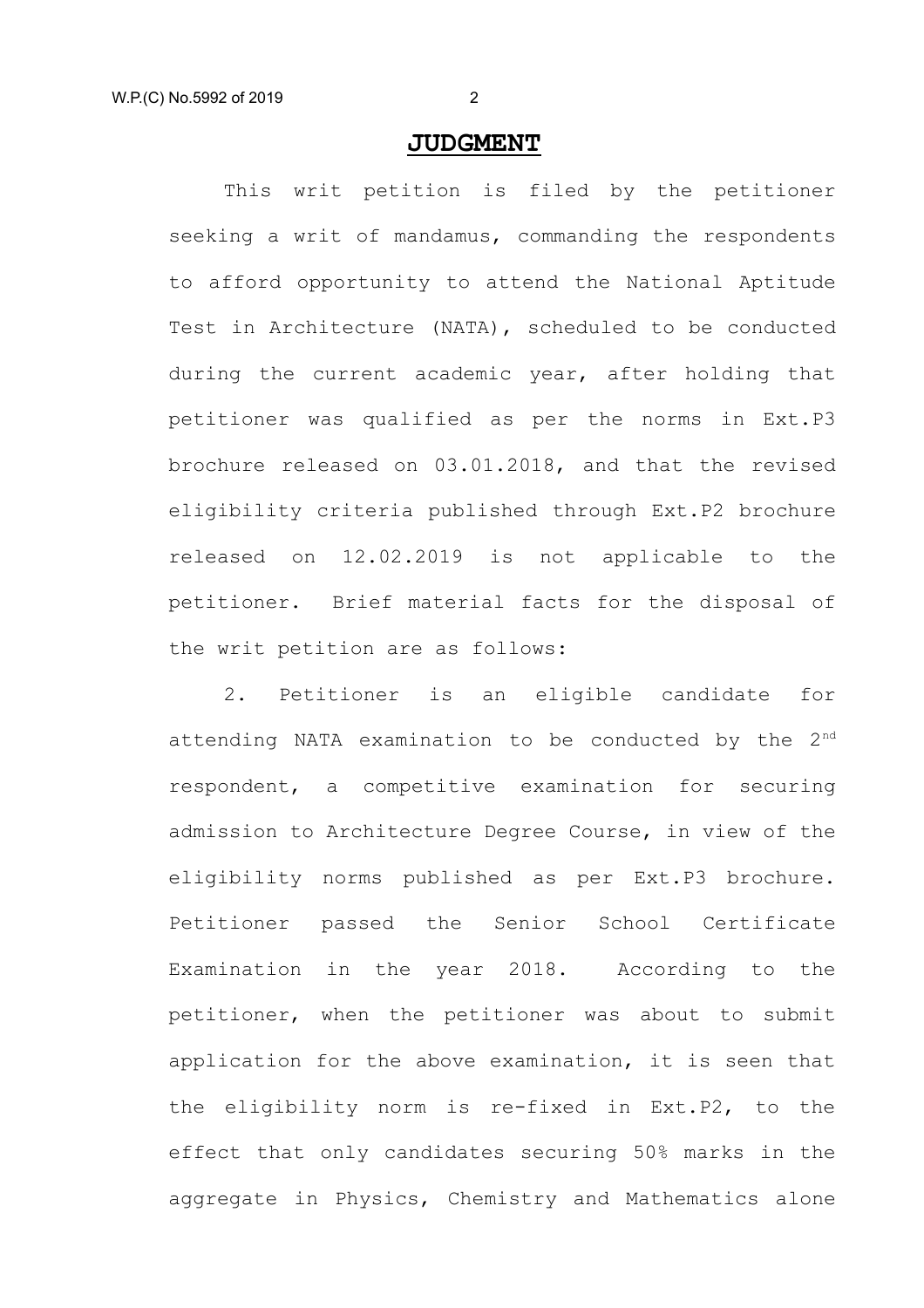## **JUDGMENT**

This writ petition is filed by the petitioner seeking a writ of mandamus, commanding the respondents to afford opportunity to attend the National Aptitude Test in Architecture (NATA), scheduled to be conducted during the current academic year, after holding that petitioner was qualified as per the norms in Ext.P3 brochure released on 03.01.2018, and that the revised eligibility criteria published through Ext.P2 brochure released on 12.02.2019 is not applicable to the petitioner. Brief material facts for the disposal of the writ petition are as follows:

2. Petitioner is an eligible candidate for attending NATA examination to be conducted by the  $2^{nd}$ respondent, a competitive examination for securing admission to Architecture Degree Course, in view of the eligibility norms published as per Ext.P3 brochure. Petitioner passed the Senior School Certificate Examination in the year 2018. According to the petitioner, when the petitioner was about to submit application for the above examination, it is seen that the eligibility norm is re-fixed in Ext.P2, to the effect that only candidates securing 50% marks in the aggregate in Physics, Chemistry and Mathematics alone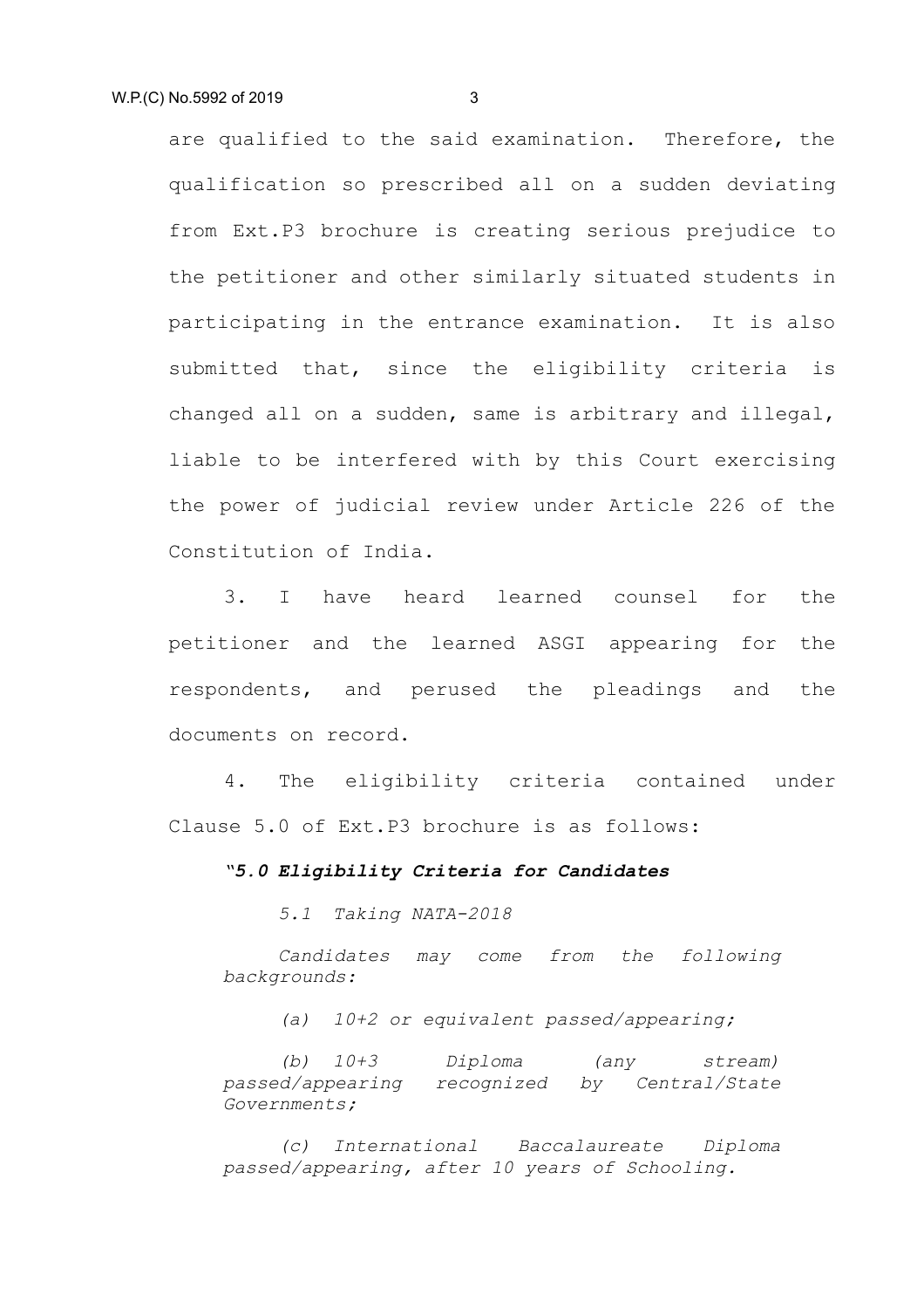are qualified to the said examination. Therefore, the qualification so prescribed all on a sudden deviating from Ext.P3 brochure is creating serious prejudice to the petitioner and other similarly situated students in participating in the entrance examination. It is also submitted that, since the eligibility criteria is changed all on a sudden, same is arbitrary and illegal, liable to be interfered with by this Court exercising the power of judicial review under Article 226 of the Constitution of India.

3. I have heard learned counsel for the petitioner and the learned ASGI appearing for the respondents, and perused the pleadings and the documents on record.

4. The eligibility criteria contained under Clause 5.0 of Ext.P3 brochure is as follows:

### *"5.0 Eligibility Criteria for Candidates*

*5.1 Taking NATA-2018*

*Candidates may come from the following backgrounds:*

*(a) 10+2 or equivalent passed/appearing;*

*(b) 10+3 Diploma (any stream) passed/appearing recognized by Central/State Governments;*

*(c) International Baccalaureate Diploma passed/appearing, after 10 years of Schooling.*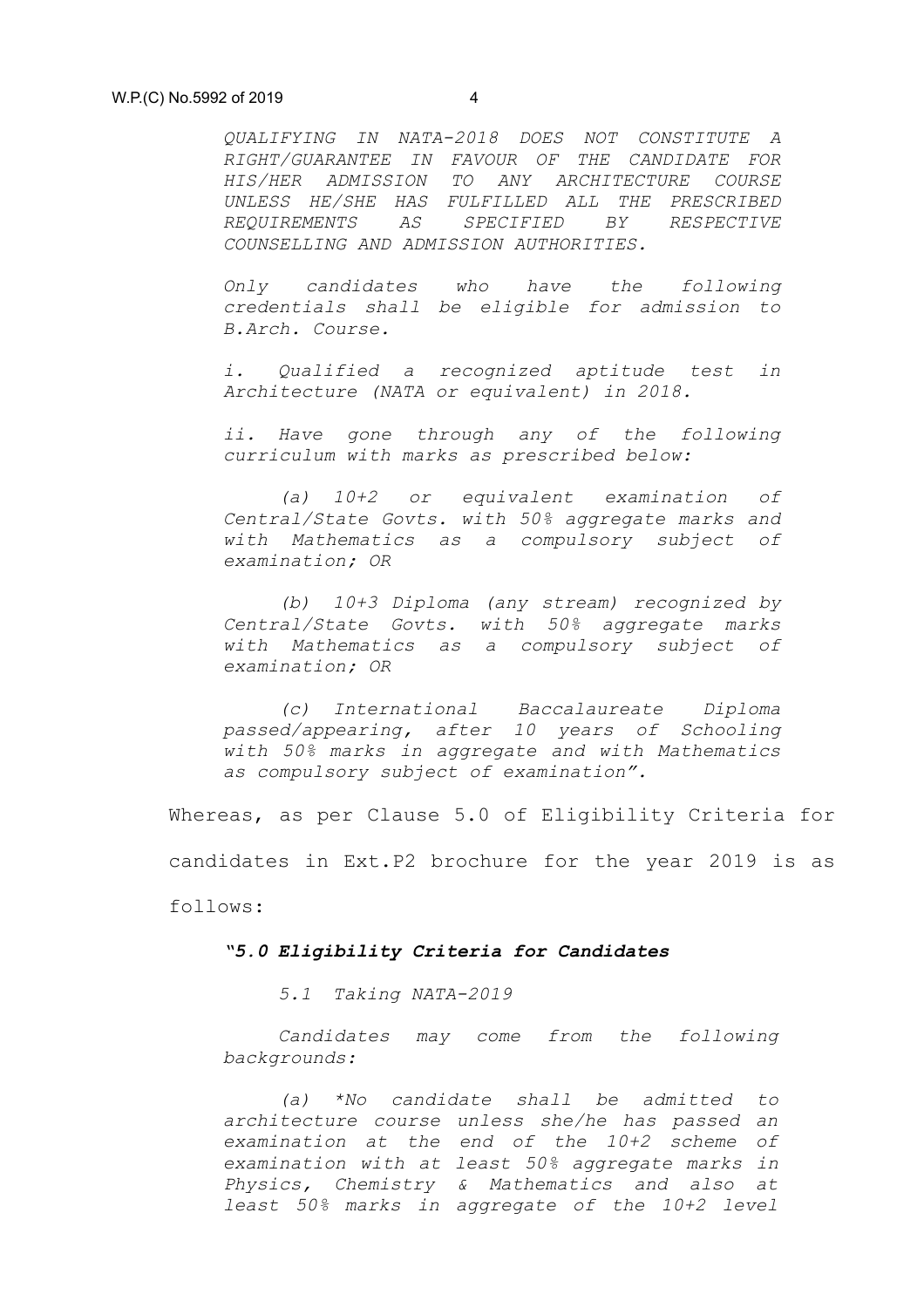*QUALIFYING IN NATA-2018 DOES NOT CONSTITUTE A RIGHT/GUARANTEE IN FAVOUR OF THE CANDIDATE FOR HIS/HER ADMISSION TO ANY ARCHITECTURE COURSE UNLESS HE/SHE HAS FULFILLED ALL THE PRESCRIBED REQUIREMENTS AS SPECIFIED BY RESPECTIVE COUNSELLING AND ADMISSION AUTHORITIES.*

*Only candidates who have the following credentials shall be eligible for admission to B.Arch. Course.*

*i. Qualified a recognized aptitude test in Architecture (NATA or equivalent) in 2018.*

*ii. Have gone through any of the following curriculum with marks as prescribed below:*

*(a) 10+2 or equivalent examination of Central/State Govts. with 50% aggregate marks and with Mathematics as a compulsory subject of examination; OR*

*(b) 10+3 Diploma (any stream) recognized by Central/State Govts. with 50% aggregate marks with Mathematics as a compulsory subject of examination; OR*

*(c) International Baccalaureate Diploma passed/appearing, after 10 years of Schooling with 50% marks in aggregate and with Mathematics as compulsory subject of examination".*

Whereas, as per Clause 5.0 of Eligibility Criteria for candidates in Ext.P2 brochure for the year 2019 is as follows:

#### *"5.0 Eligibility Criteria for Candidates*

*5.1 Taking NATA-2019*

*Candidates may come from the following backgrounds:*

*(a) \*No candidate shall be admitted to architecture course unless she/he has passed an examination at the end of the 10+2 scheme of examination with at least 50% aggregate marks in Physics, Chemistry & Mathematics and also at least 50% marks in aggregate of the 10+2 level*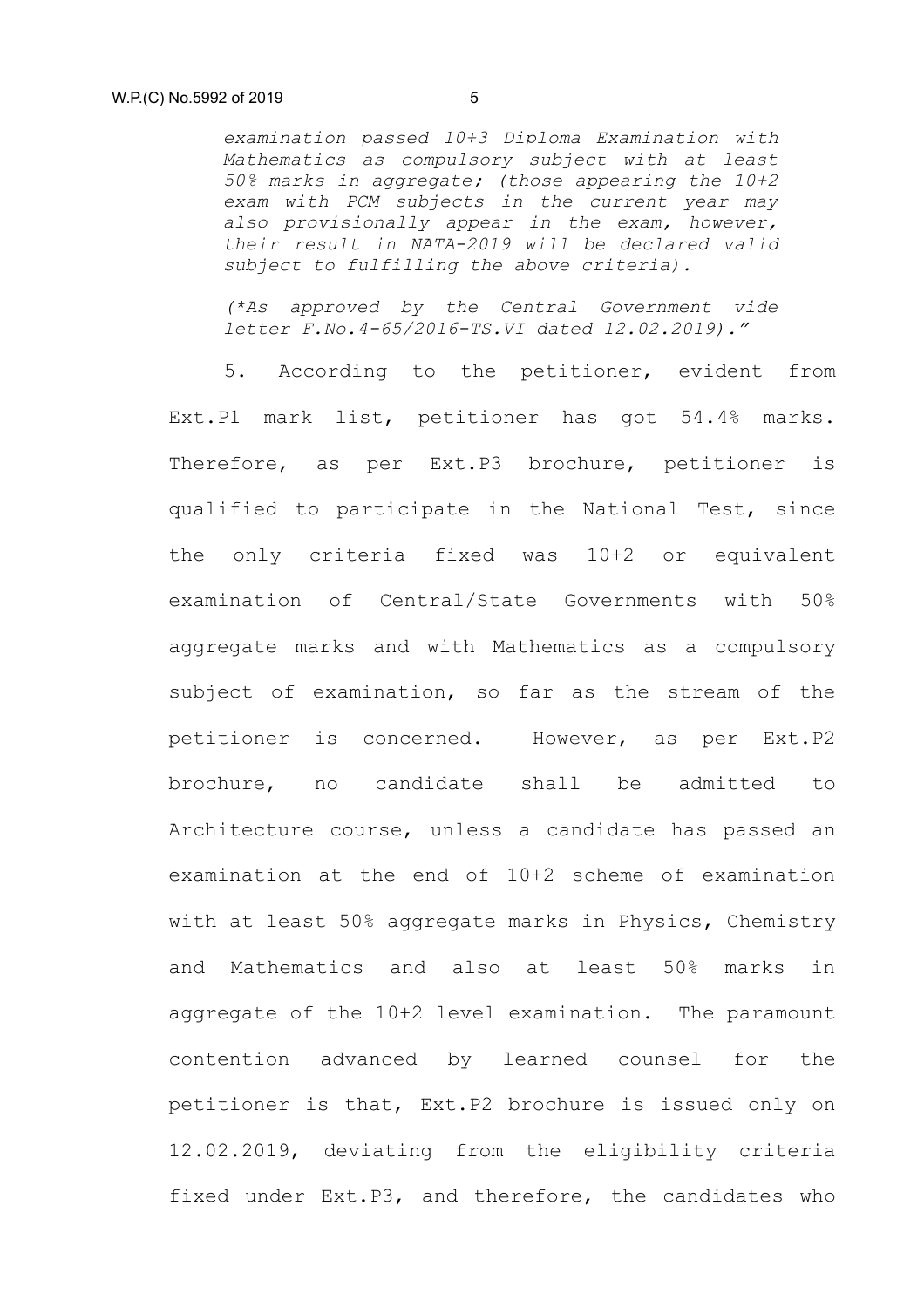*examination passed 10+3 Diploma Examination with Mathematics as compulsory subject with at least 50% marks in aggregate; (those appearing the 10+2 exam with PCM subjects in the current year may also provisionally appear in the exam, however, their result in NATA-2019 will be declared valid subject to fulfilling the above criteria).*

*(\*As approved by the Central Government vide letter F.No.4-65/2016-TS.VI dated 12.02.2019)."*

5. According to the petitioner, evident from Ext.P1 mark list, petitioner has got 54.4% marks. Therefore, as per Ext.P3 brochure, petitioner is qualified to participate in the National Test, since the only criteria fixed was 10+2 or equivalent examination of Central/State Governments with 50% aggregate marks and with Mathematics as a compulsory subject of examination, so far as the stream of the petitioner is concerned. However, as per Ext.P2 brochure, no candidate shall be admitted to Architecture course, unless a candidate has passed an examination at the end of 10+2 scheme of examination with at least 50% aggregate marks in Physics, Chemistry and Mathematics and also at least 50% marks in aggregate of the 10+2 level examination. The paramount contention advanced by learned counsel for the petitioner is that, Ext.P2 brochure is issued only on 12.02.2019, deviating from the eligibility criteria fixed under Ext.P3, and therefore, the candidates who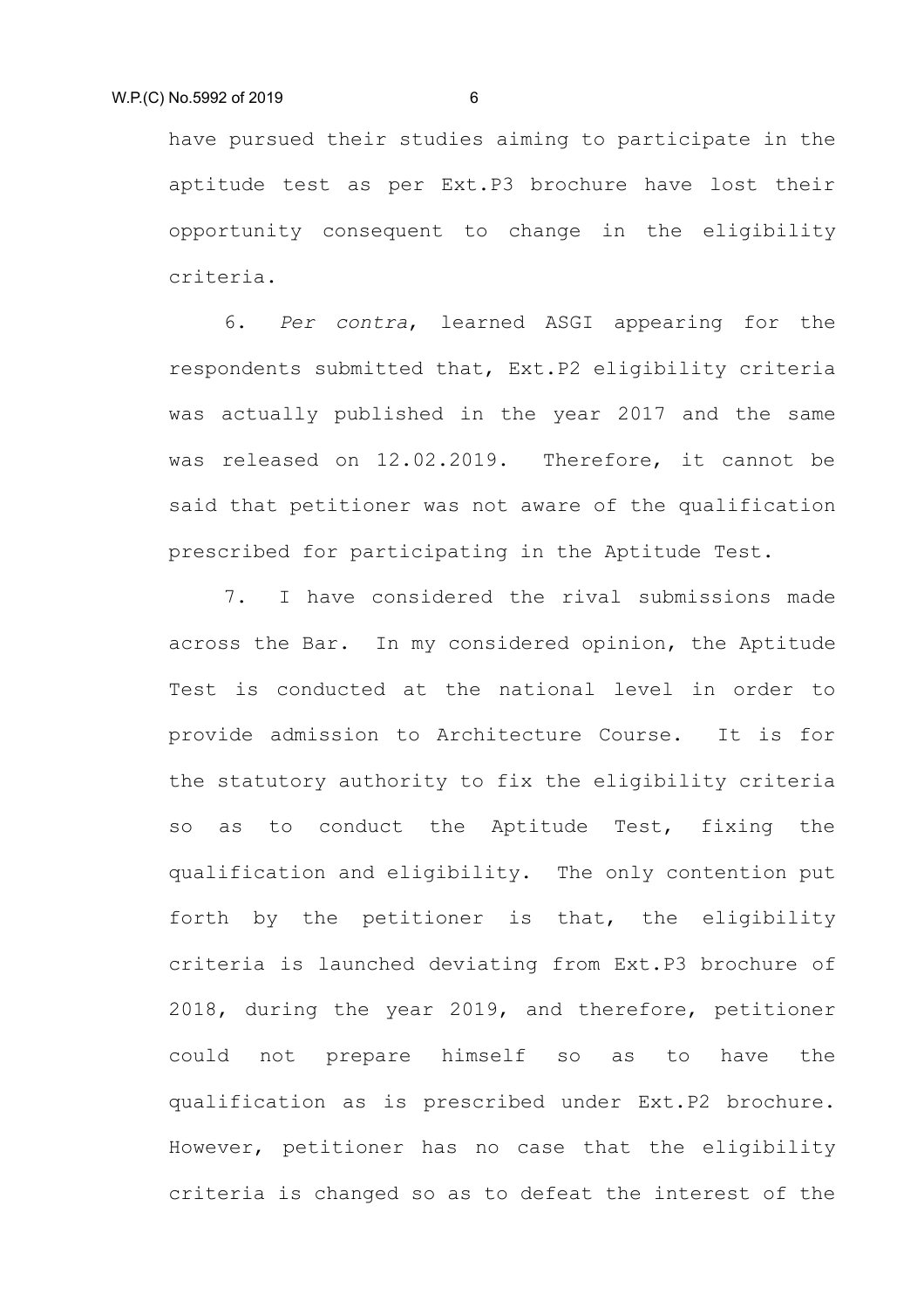have pursued their studies aiming to participate in the aptitude test as per Ext.P3 brochure have lost their opportunity consequent to change in the eligibility criteria.

6. *Per contra*, learned ASGI appearing for the respondents submitted that, Ext.P2 eligibility criteria was actually published in the year 2017 and the same was released on 12.02.2019. Therefore, it cannot be said that petitioner was not aware of the qualification prescribed for participating in the Aptitude Test.

7. I have considered the rival submissions made across the Bar. In my considered opinion, the Aptitude Test is conducted at the national level in order to provide admission to Architecture Course. It is for the statutory authority to fix the eligibility criteria so as to conduct the Aptitude Test, fixing the qualification and eligibility. The only contention put forth by the petitioner is that, the eligibility criteria is launched deviating from Ext.P3 brochure of 2018, during the year 2019, and therefore, petitioner could not prepare himself so as to have the qualification as is prescribed under Ext.P2 brochure. However, petitioner has no case that the eligibility criteria is changed so as to defeat the interest of the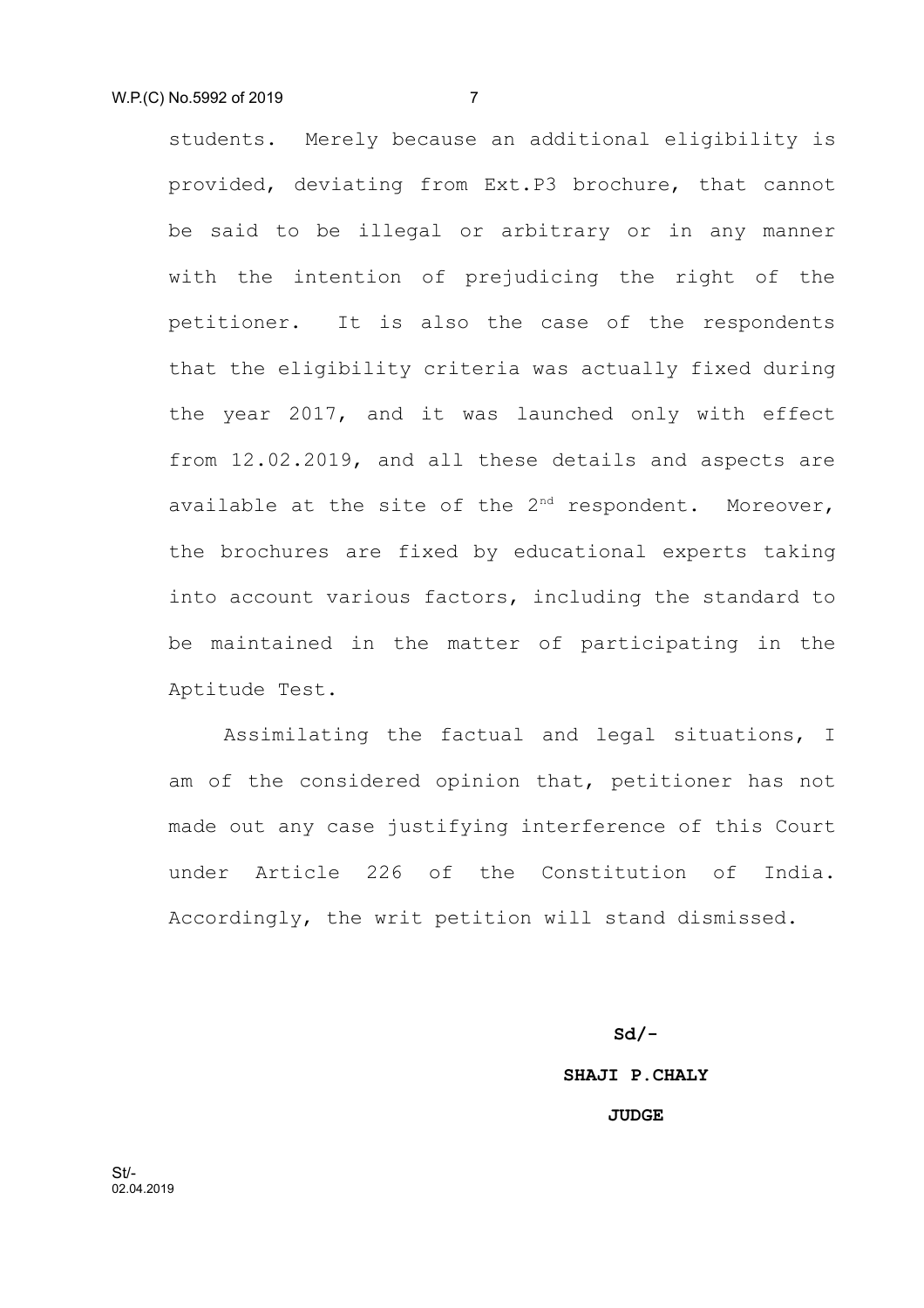students. Merely because an additional eligibility is provided, deviating from Ext.P3 brochure, that cannot be said to be illegal or arbitrary or in any manner with the intention of prejudicing the right of the petitioner. It is also the case of the respondents that the eligibility criteria was actually fixed during the year 2017, and it was launched only with effect from 12.02.2019, and all these details and aspects are available at the site of the  $2^{nd}$  respondent. Moreover, the brochures are fixed by educational experts taking into account various factors, including the standard to be maintained in the matter of participating in the Aptitude Test.

Assimilating the factual and legal situations, I am of the considered opinion that, petitioner has not made out any case justifying interference of this Court under Article 226 of the Constitution of India. Accordingly, the writ petition will stand dismissed.

> **Sd/- SHAJI P.CHALY JUDGE**

St/- 02.04.2019